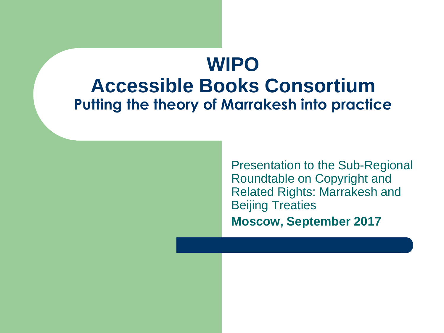#### **WIPO Accessible Books Consortium Putting the theory of Marrakesh into practice**

Presentation to the Sub-Regional Roundtable on Copyright and Related Rights: Marrakesh and Beijing Treaties **Moscow, September 2017**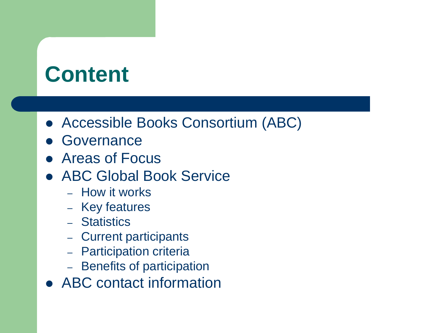## **Content**

- Accessible Books Consortium (ABC)
- **Governance**
- Areas of Focus
- ABC Global Book Service
	- How it works
	- Key features
	- Statistics
	- Current participants
	- Participation criteria
	- Benefits of participation
- ABC contact information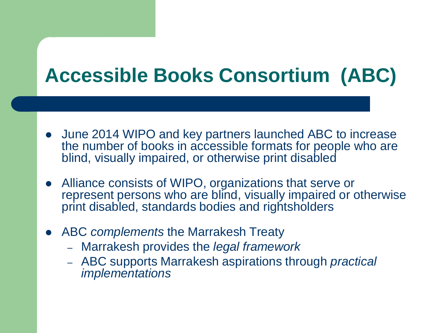### **Accessible Books Consortium (ABC)**

- June 2014 WIPO and key partners launched ABC to increase the number of books in accessible formats for people who are blind, visually impaired, or otherwise print disabled
- Alliance consists of WIPO, organizations that serve or represent persons who are blind, visually impaired or otherwise print disabled, standards bodies and rightsholders
- ABC *complements* the Marrakesh Treaty
	- Marrakesh provides the *legal framework*
	- ABC supports Marrakesh aspirations through *practical implementations*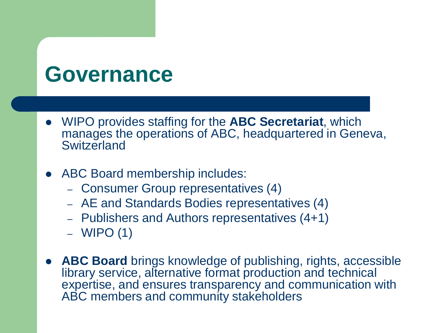### **Governance**

- WIPO provides staffing for the **ABC Secretariat**, which manages the operations of ABC, headquartered in Geneva, **Switzerland**
- ABC Board membership includes:
	- Consumer Group representatives (4)
	- AE and Standards Bodies representatives (4)
	- Publishers and Authors representatives (4+1)
	- WIPO (1)
- **ABC Board** brings knowledge of publishing, rights, accessible library service, alternative format production and technical expertise, and ensures transparency and communication with ABC members and community stakeholders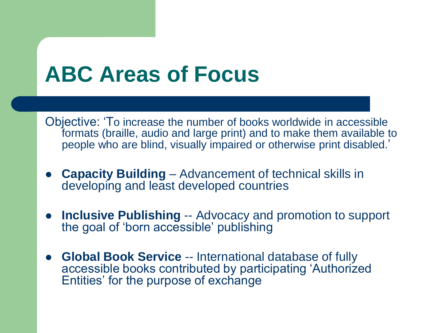### **ABC Areas of Focus**

Objective: 'To increase the number of books worldwide in accessible formats (braille, audio and large print) and to make them available to people who are blind, visually impaired or otherwise print disabled.'

- **Capacity Building**  Advancement of technical skills in developing and least developed countries
- **Inclusive Publishing** -- Advocacy and promotion to support the goal of 'born accessible' publishing
- **Global Book Service** -- International database of fully accessible books contributed by participating 'Authorized Entities' for the purpose of exchange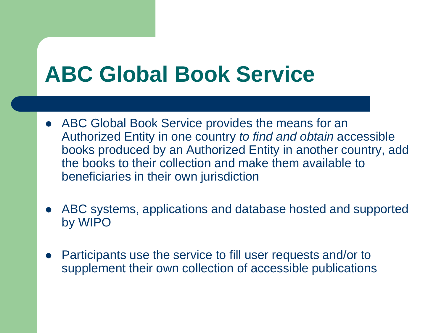## **ABC Global Book Service**

- ABC Global Book Service provides the means for an Authorized Entity in one country *to find and obtain* accessible books produced by an Authorized Entity in another country, add the books to their collection and make them available to beneficiaries in their own jurisdiction
- ABC systems, applications and database hosted and supported by WIPO
- Participants use the service to fill user requests and/or to supplement their own collection of accessible publications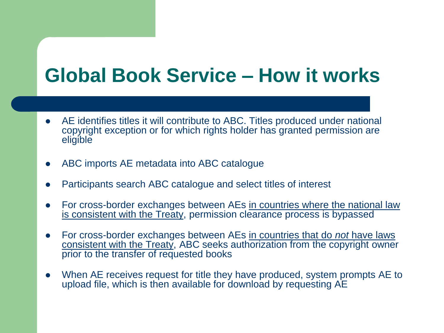#### **Global Book Service – How it works**

- AE identifies titles it will contribute to ABC. Titles produced under national copyright exception or for which rights holder has granted permission are eligible
- ABC imports AE metadata into ABC catalogue
- Participants search ABC catalogue and select titles of interest
- For cross-border exchanges between AEs in countries where the national law is consistent with the Treaty, permission clearance process is bypassed
- For cross-border exchanges between AEs in countries that do *not* have laws consistent with the Treaty, ABC seeks authorization from the copyright owner prior to the transfer of requested books
- When AE receives request for title they have produced, system prompts AE to upload file, which is then available for download by requesting AE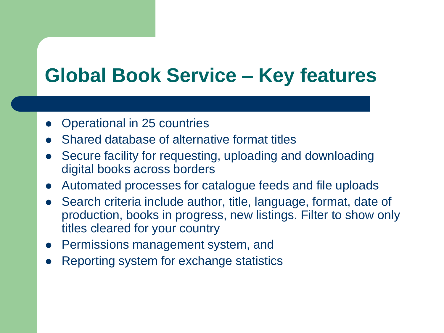#### **Global Book Service – Key features**

- Operational in 25 countries
- Shared database of alternative format titles
- Secure facility for requesting, uploading and downloading digital books across borders
- Automated processes for catalogue feeds and file uploads
- Search criteria include author, title, language, format, date of production, books in progress, new listings. Filter to show only titles cleared for your country
- Permissions management system, and
- Reporting system for exchange statistics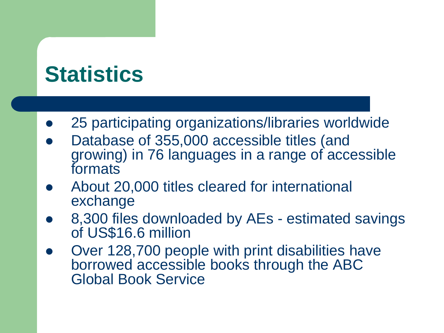## **Statistics**

- 25 participating organizations/libraries worldwide
- Database of 355,000 accessible titles (and growing) in 76 languages in a range of accessible formats
- About 20,000 titles cleared for international exchange
- 8,300 files downloaded by AEs estimated savings of US\$16.6 million
- Over 128,700 people with print disabilities have borrowed accessible books through the ABC Global Book Service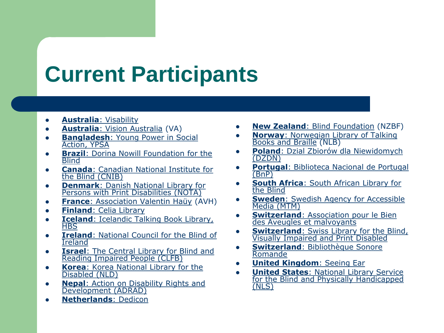# **Current Participants**

- **[Australia](http://www.visability.com.au/)**[: Visability](http://www.visability.com.au/)
- **[Australia](http://www.visionaustralia.org/)**[: Vision Australia](http://www.visionaustralia.org/) (VA)
- **[Bangladesh](http://www.ypsa.org/): Young Power in Social** [Action, YPSA](http://www.ypsa.org/)
- **[Brazil](http://www.fundacaodorina.org.br/):** Dorina Nowill Foundation for the **[Blind](http://www.fundacaodorina.org.br/)**
- **[Canada](http://www.cnib.ca/)**[: Canadian National Institute for](http://www.cnib.ca/)  [the Blind \(CNIB\)](http://www.cnib.ca/)
- **[Denmark](https://nota.dk/)**[: Danish National Library for](https://nota.dk/)  [Persons with Print Disabilities \(NOTA\)](https://nota.dk/)
- **[France](http://www.avh.asso.fr/)**[: Association Valentin Haüy](http://www.avh.asso.fr/) (AVH)
- **•** [Finland](http://www.celia.fi/)[: Celia Library](http://www.celia.fi/)
- **[Iceland](https://hbs.is/): Icelandic Talking Book Library, [HBS](https://hbs.is/)**
- **[Ireland](http://www.ncbi.ie/):** National Council for the Blind of [Ireland](http://www.ncbi.ie/)
- **[Israel](http://www.clfb.org.il/):** The Central Library for Blind and [Reading Impaired People \(CLFB\)](http://www.clfb.org.il/)
- **[Korea](http://www.nld.nl.go.kr/):** Korea National Library for the [Disabled \(NLD\)](http://www.nld.nl.go.kr/)
- **[Nepal](http://www.adradnepal.org/)**[: Action on Disability Rights and](http://www.adradnepal.org/)  [Development \(ADRAD\)](http://www.adradnepal.org/)
- **[Netherlands](http://www.dedicon.nl/)**[: Dedicon](http://www.dedicon.nl/)
- **[New Zealand](http://www.blindfoundation.org.nz/)**[: Blind Foundation](http://www.blindfoundation.org.nz/) (NZBF)
- **[Norway](http://www.nlb.no/)**[: Norwegian Library of Talking](http://www.nlb.no/)  [Books and Braille](http://www.nlb.no/) (NLB)
- **[Poland](http://www.dzdn.pl/)**[: Dzial Zbiorów dla Niewidomych](http://www.dzdn.pl/)  [\(DZDN\)](http://www.dzdn.pl/)
- **[Portugal](http://www.bnportugal.pt/)**[: Biblioteca Nacional de Portugal](http://www.bnportugal.pt/)  [\(BnP\)](http://www.bnportugal.pt/)
- **[South Africa](http://www.salb.org.za/)**[: South African Library for](http://www.salb.org.za/)  [the Blind](http://www.salb.org.za/)
- **[Sweden](http://www.mtm.se/):** Swedish Agency for Accessible [Media \(MTM\)](http://www.mtm.se/)
- **switzerland: Association pour le Bien** [des Aveugles et malvoyants](http://www.abage.ch/)
- **[Switzerland](http://www.sbs.ch/):** Swiss Library for the Blind, [Visually Impaired and Print Disabled](http://www.sbs.ch/)
- **[Switzerland](http://www.bibliothequesonore.ch/): Bibliothèque Sonore** [Romande](http://www.bibliothequesonore.ch/)
- **[United Kingdom](http://www.seeingear.org/)**[: Seeing Ear](http://www.seeingear.org/)
- **[United States](http://www.loc.gov/nls/index.html)**[: National Library Service](http://www.loc.gov/nls/index.html)  [for the Blind and Physically Handicapped](http://www.loc.gov/nls/index.html)  [\(NLS\)](http://www.loc.gov/nls/index.html)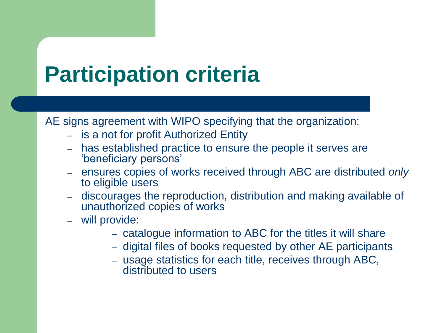# **Participation criteria**

AE signs agreement with WIPO specifying that the organization:

- is a not for profit Authorized Entity
- has established practice to ensure the people it serves are 'beneficiary persons'
- ensures copies of works received through ABC are distributed *only* to eligible users
- discourages the reproduction, distribution and making available of unauthorized copies of works
- will provide:
	- catalogue information to ABC for the titles it will share
	- digital files of books requested by other AE participants
	- usage statistics for each title, receives through ABC, distributed to users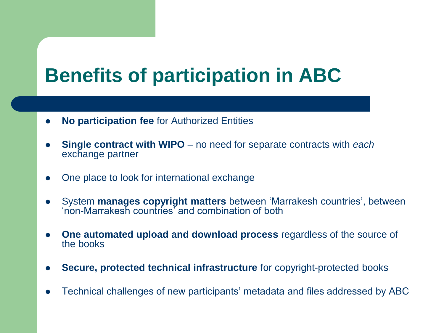#### **Benefits of participation in ABC**

- **No participation fee** for Authorized Entities
- **Single contract with WIPO** no need for separate contracts with *each* exchange partner
- One place to look for international exchange
- System **manages copyright matters** between 'Marrakesh countries', between 'non-Marrakesh countries' and combination of both
- **One automated upload and download process** regardless of the source of the books
- **Secure, protected technical infrastructure** for copyright-protected books
- Technical challenges of new participants' metadata and files addressed by ABC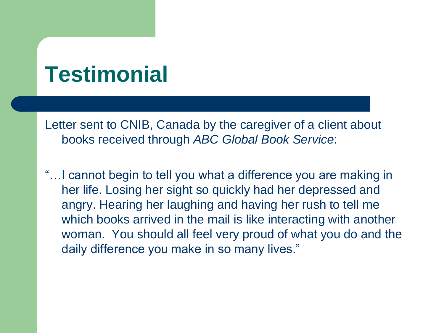## **Testimonial**

Letter sent to CNIB, Canada by the caregiver of a client about books received through *ABC Global Book Service*:

"…I cannot begin to tell you what a difference you are making in her life. Losing her sight so quickly had her depressed and angry. Hearing her laughing and having her rush to tell me which books arrived in the mail is like interacting with another woman. You should all feel very proud of what you do and the daily difference you make in so many lives."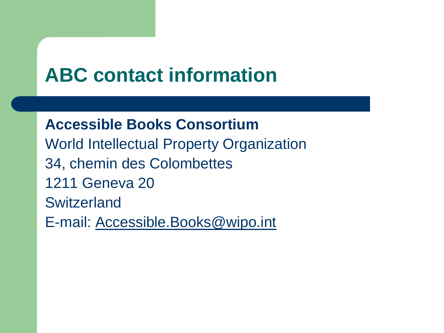#### **ABC contact information**

**Accessible Books Consortium** World Intellectual Property Organization 34, chemin des Colombettes 1211 Geneva 20 **Switzerland** E-mail: [Accessible.Books@wipo.int](mailto:Accessible.Books@wipo.int)